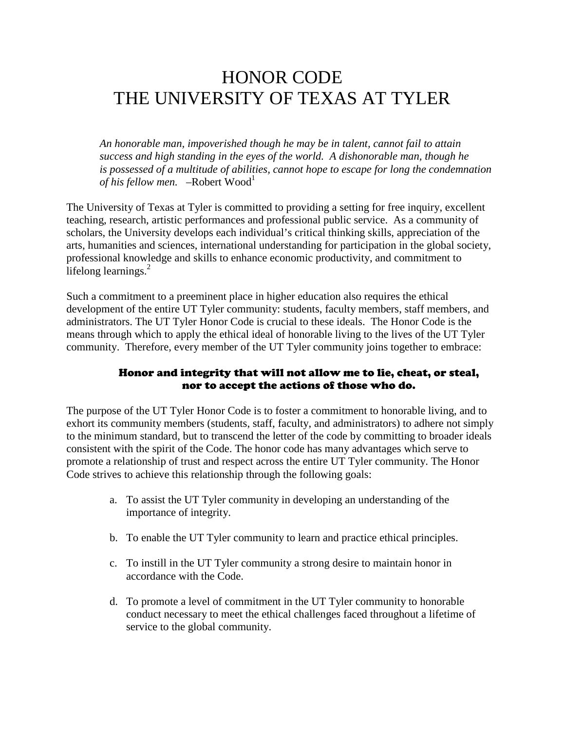## HONOR CODE THE UNIVERSITY OF TEXAS AT TYLER

 *An honorable man, impoverished though he may be in talent, cannot fail to attain success and high standing in the eyes of the world. A dishonorable man, though he is possessed of a multitude of abilities, cannot hope to escape for long the condemnation of his fellow men.* –Robert Wood<sup>1</sup>

The University of Texas at Tyler is committed to providing a setting for free inquiry, excellent teaching, research, artistic performances and professional public service. As a community of scholars, the University develops each individual's critical thinking skills, appreciation of the arts, humanities and sciences, international understanding for participation in the global society, professional knowledge and skills to enhance economic productivity, and commitment to lifelong learnings.<sup>2</sup>

Such a commitment to a preeminent place in higher education also requires the ethical development of the entire UT Tyler community: students, faculty members, staff members, and administrators. The UT Tyler Honor Code is crucial to these ideals. The Honor Code is the means through which to apply the ethical ideal of honorable living to the lives of the UT Tyler community. Therefore, every member of the UT Tyler community joins together to embrace:

## Honor and integrity that will not allow me to lie, cheat, or steal, nor to accept the actions of those who do.

The purpose of the UT Tyler Honor Code is to foster a commitment to honorable living, and to exhort its community members (students, staff, faculty, and administrators) to adhere not simply to the minimum standard, but to transcend the letter of the code by committing to broader ideals consistent with the spirit of the Code. The honor code has many advantages which serve to promote a relationship of trust and respect across the entire UT Tyler community. The Honor Code strives to achieve this relationship through the following goals:

- a. To assist the UT Tyler community in developing an understanding of the importance of integrity.
- b. To enable the UT Tyler community to learn and practice ethical principles.
- c. To instill in the UT Tyler community a strong desire to maintain honor in accordance with the Code.
- d. To promote a level of commitment in the UT Tyler community to honorable conduct necessary to meet the ethical challenges faced throughout a lifetime of service to the global community.